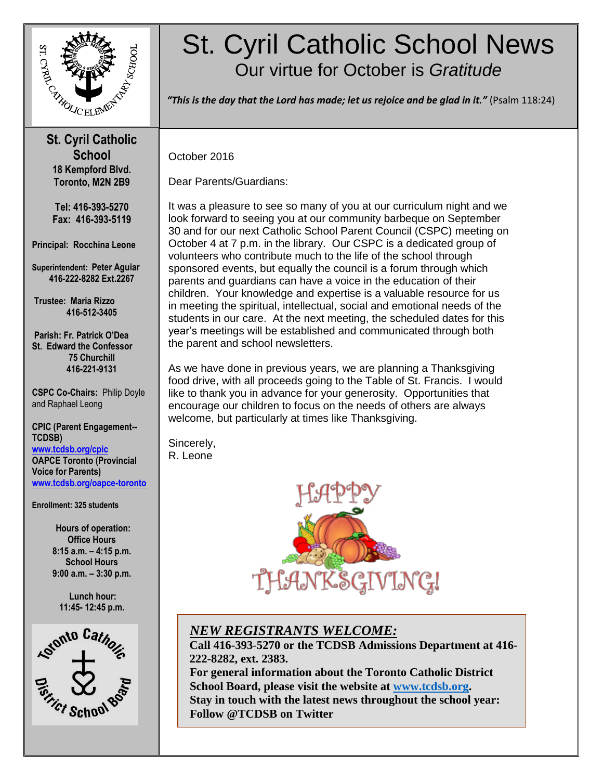

### **St. Cyril Catholic School 18 Kempford Blvd. Toronto, M2N 2B9**

**Tel: 416-393-5270 Fax: 416-393-5119**

**Principal: Rocchina Leone**

**Superintendent: Peter Aguiar 416-222-8282 Ext.2267**

**Trustee: Maria Rizzo 416-512-3405**

**Parish: Fr. Patrick O'Dea St. Edward the Confessor 75 Churchill 416-221-9131**

**CSPC Co-Chairs:** Philip Doyle and Raphael Leong

**CPIC (Parent Engagement-- TCDSB) [www.tcdsb.org/cpic](http://www.tcdsb.org/cpic) OAPCE Toronto (Provincial Voice for Parents) [www.tcdsb.org/oapce-toronto](http://www.tcdsb.org/oapce-toronto)**

**Enrollment: 325 students**

**Hours of operation: Office Hours 8:15 a.m. – 4:15 p.m. School Hours 9:00 a.m. – 3:30 p.m.**

**Lunch hour: 11:45- 12:45 p.m.**



# St. Cyril Catholic School News Our virtue for October is *Gratitude*

 *"This is the day that the Lord has made; let us rejoice and be glad in it."* (Psalm 118:24)

October 2016

 **March 2015**

Dear Parents/Guardians:

It was a pleasure to see so many of you at our curriculum night and we look forward to seeing you at our community barbeque on September 30 and for our next Catholic School Parent Council (CSPC) meeting on October 4 at 7 p.m. in the library. Our CSPC is a dedicated group of volunteers who contribute much to the life of the school through sponsored events, but equally the council is a forum through which parents and guardians can have a voice in the education of their children. Your knowledge and expertise is a valuable resource for us in meeting the spiritual, intellectual, social and emotional needs of the students in our care. At the next meeting, the scheduled dates for this year's meetings will be established and communicated through both the parent and school newsletters.

As we have done in previous years, we are planning a Thanksgiving food drive, with all proceeds going to the Table of St. Francis. I would like to thank you in advance for your generosity. Opportunities that encourage our children to focus on the needs of others are always welcome, but particularly at times like Thanksgiving.

Sincerely, R. Leone



# *NEW REGISTRANTS WELCOME:*

**Call 416-393***-***5270 or the TCDSB Admissions Department at 416- 222-8282, ext. 2383.**

**For general information about the Toronto Catholic District School Board, please visit the website at [www.tcdsb.org.](http://www.tcdsb.org/) Stay in touch with the latest news throughout the school year: Follow @TCDSB on Twitter**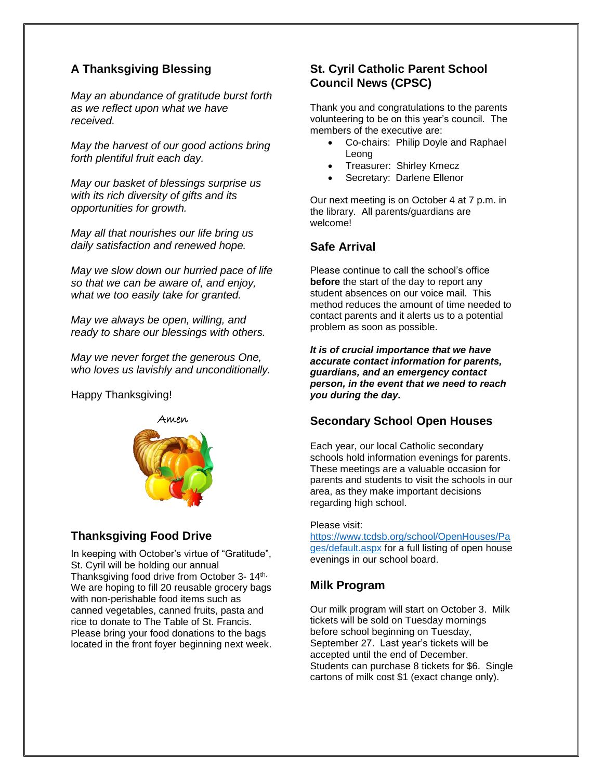## **A Thanksgiving Blessing**

*May an abundance of gratitude burst forth as we reflect upon what we have received.*

*May the harvest of our good actions bring forth plentiful fruit each day.*

*May our basket of blessings surprise us with its rich diversity of gifts and its opportunities for growth.*

*May all that nourishes our life bring us daily satisfaction and renewed hope.*

*May we slow down our hurried pace of life so that we can be aware of, and enjoy, what we too easily take for granted.*

*May we always be open, willing, and ready to share our blessings with others.*

*May we never forget the generous One, who loves us lavishly and unconditionally.*

Happy Thanksgiving!



## **Thanksgiving Food Drive**

In keeping with October's virtue of "Gratitude", St. Cyril will be holding our annual Thanksgiving food drive from October 3- 14th. We are hoping to fill 20 reusable grocery bags with non-perishable food items such as canned vegetables, canned fruits, pasta and rice to donate to The Table of St. Francis. Please bring your food donations to the bags located in the front foyer beginning next week.

## **St. Cyril Catholic Parent School Council News (CPSC)**

Thank you and congratulations to the parents volunteering to be on this year's council. The members of the executive are:

- Co-chairs: Philip Doyle and Raphael Leong
- Treasurer: Shirley Kmecz
- Secretary: Darlene Ellenor

Our next meeting is on October 4 at 7 p.m. in the library. All parents/guardians are welcome!

## **Safe Arrival**

Please continue to call the school's office **before** the start of the day to report any student absences on our voice mail. This method reduces the amount of time needed to contact parents and it alerts us to a potential problem as soon as possible.

*It is of crucial importance that we have accurate contact information for parents, guardians, and an emergency contact person, in the event that we need to reach you during the day.* 

## **Secondary School Open Houses**

Each year, our local Catholic secondary schools hold information evenings for parents. These meetings are a valuable occasion for parents and students to visit the schools in our area, as they make important decisions regarding high school.

#### Please visit:

[https://www.tcdsb.org/school/OpenHouses/Pa](https://www.tcdsb.org/school/OpenHouses/Pages/default.aspx) [ges/default.aspx](https://www.tcdsb.org/school/OpenHouses/Pages/default.aspx) for a full listing of open house evenings in our school board.

## **Milk Program**

Our milk program will start on October 3. Milk tickets will be sold on Tuesday mornings before school beginning on Tuesday, September 27. Last year's tickets will be accepted until the end of December. Students can purchase 8 tickets for \$6. Single cartons of milk cost \$1 (exact change only).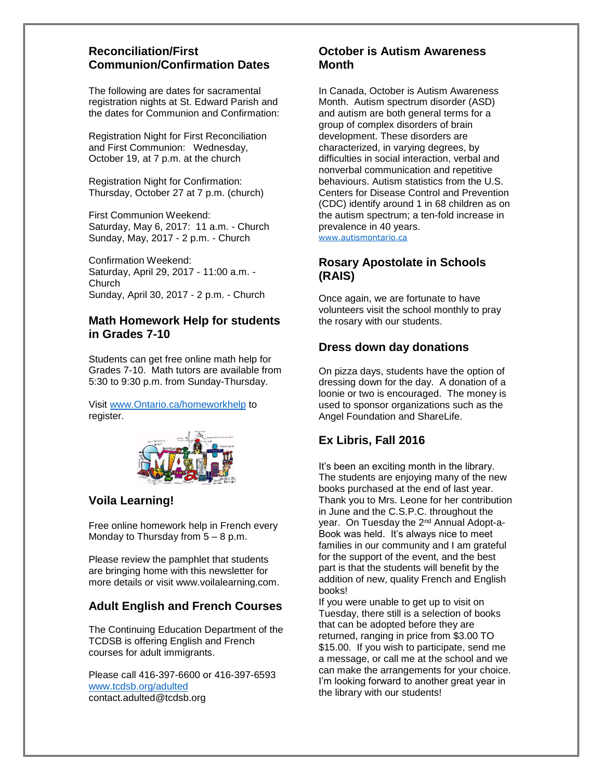#### **Reconciliation/First Communion/Confirmation Dates**

The following are dates for sacramental registration nights at St. Edward Parish and the dates for Communion and Confirmation:

Registration Night for First Reconciliation and First Communion: Wednesday, October 19, at 7 p.m. at the church

Registration Night for Confirmation: Thursday, October 27 at 7 p.m. (church)

First Communion Weekend: Saturday, May 6, 2017: 11 a.m. - Church Sunday, May, 2017 - 2 p.m. - Church

Confirmation Weekend: Saturday, April 29, 2017 - 11:00 a.m. - Church Sunday, April 30, 2017 - 2 p.m. - Church

#### **Math Homework Help for students in Grades 7-10**

Students can get free online math help for Grades 7-10. Math tutors are available from 5:30 to 9:30 p.m. from Sunday-Thursday.

Visit [www.Ontario.ca/homeworkhelp](http://www.ontario.ca/homeworkhelp) to register.



## **Voila Learning!**

Free online homework help in French every Monday to Thursday from  $5 - 8$  p.m.

Please review the pamphlet that students are bringing home with this newsletter for more details or visit www.voilalearning.com.

## **Adult English and French Courses**

The Continuing Education Department of the TCDSB is offering English and French courses for adult immigrants.

Please call 416-397-6600 or 416-397-6593 [www.tcdsb.org/adulted](http://www.tcdsb.org/adulted) contact.adulted@tcdsb.org

### **October is Autism Awareness Month**

In Canada, October is Autism Awareness Month. Autism spectrum disorder (ASD) and autism are both general terms for a group of complex disorders of brain development. These disorders are characterized, in varying degrees, by difficulties in social interaction, verbal and nonverbal communication and repetitive behaviours. Autism statistics from the U.S. Centers for Disease Control and Prevention (CDC) identify around 1 in 68 children as on the autism spectrum; a ten-fold increase in prevalence in 40 years. [www.autismontario.ca](http://www.autismontario.ca/)

#### **Rosary Apostolate in Schools (RAIS)**

Once again, we are fortunate to have volunteers visit the school monthly to pray the rosary with our students.

## **Dress down day donations**

On pizza days, students have the option of dressing down for the day. A donation of a loonie or two is encouraged. The money is used to sponsor organizations such as the Angel Foundation and ShareLife.

## **Ex Libris, Fall 2016**

It's been an exciting month in the library. The students are enjoying many of the new books purchased at the end of last year. Thank you to Mrs. Leone for her contribution in June and the C.S.P.C. throughout the year. On Tuesday the 2nd Annual Adopt-a-Book was held. It's always nice to meet families in our community and I am grateful for the support of the event, and the best part is that the students will benefit by the addition of new, quality French and English books!

If you were unable to get up to visit on Tuesday, there still is a selection of books that can be adopted before they are returned, ranging in price from \$3.00 TO \$15.00. If you wish to participate, send me a message, or call me at the school and we can make the arrangements for your choice. I'm looking forward to another great year in the library with our students!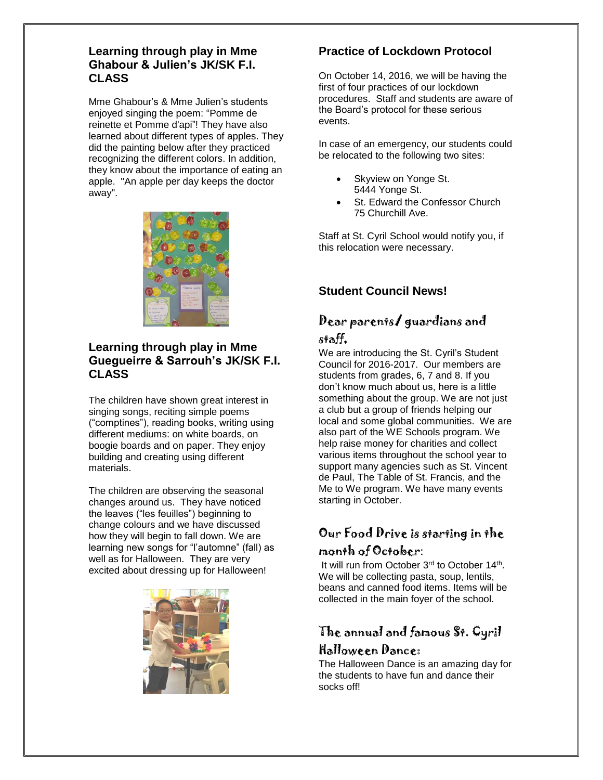#### **Learning through play in Mme Ghabour & Julien's JK/SK F.I. CLASS**

Mme Ghabour's & Mme Julien's students enjoyed singing the poem: "Pomme de reinette et Pomme d'api"! They have also learned about different types of apples. They did the painting below after they practiced recognizing the different colors. In addition, they know about the importance of eating an apple. "An apple per day keeps the doctor away".



### **Learning through play in Mme Guegueirre & Sarrouh's JK/SK F.I. CLASS**

The children have shown great interest in singing songs, reciting simple poems ("comptines"), reading books, writing using different mediums: on white boards, on boogie boards and on paper. They enjoy building and creating using different materials.

The children are observing the seasonal changes around us. They have noticed the leaves ("les feuilles") beginning to change colours and we have discussed how they will begin to fall down. We are learning new songs for "l'automne" (fall) as well as for Halloween. They are very excited about dressing up for Halloween!



## **Practice of Lockdown Protocol**

On October 14, 2016, we will be having the first of four practices of our lockdown procedures. Staff and students are aware of the Board's protocol for these serious events.

In case of an emergency, our students could be relocated to the following two sites:

- Skyview on Yonge St. 5444 Yonge St.
- St. Edward the Confessor Church 75 Churchill Ave.

Staff at St. Cyril School would notify you, if this relocation were necessary.

## **Student Council News!**

# Dear parents/ guardians and

#### staff,

We are introducing the St. Cyril's Student Council for 2016-2017. Our members are students from grades, 6, 7 and 8. If you don't know much about us, here is a little something about the group. We are not just a club but a group of friends helping our local and some global communities. We are also part of the WE Schools program. We help raise money for charities and collect various items throughout the school year to support many agencies such as St. Vincent de Paul, The Table of St. Francis, and the Me to We program. We have many events starting in October.

## Our Food Drive is starting in the month of October:

It will run from October 3<sup>rd</sup> to October 14<sup>th</sup>. We will be collecting pasta, soup, lentils, beans and canned food items. Items will be collected in the main foyer of the school.

# The annual and famous St. Cyril Halloween Dance:

The Halloween Dance is an amazing day for the students to have fun and dance their socks off!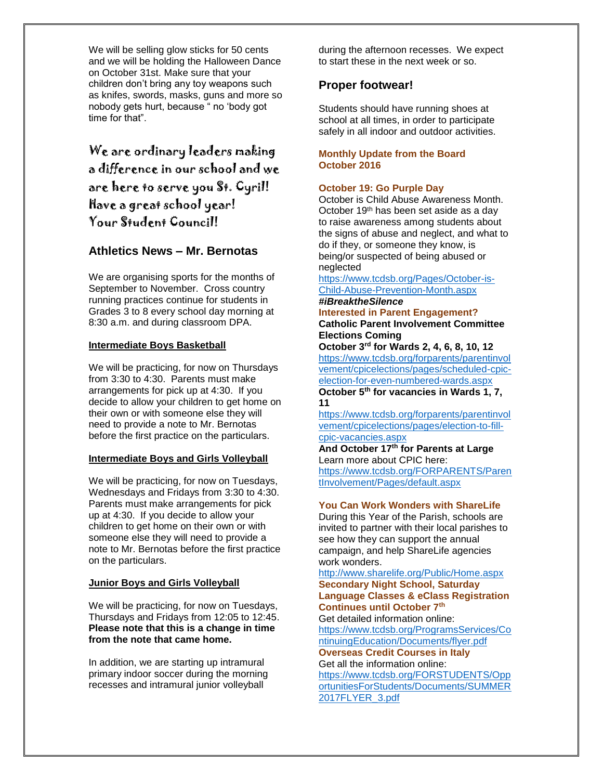We will be selling glow sticks for 50 cents and we will be holding the Halloween Dance on October 31st. Make sure that your children don't bring any toy weapons such as knifes, swords, masks, guns and more so nobody gets hurt, because " no 'body got time for that".

We are ordinary leaders making a difference in our school and we are here to serve you St. Cyril! Have a great school year! Your Student Council!

#### **Athletics News – Mr. Bernotas**

We are organising sports for the months of September to November. Cross country running practices continue for students in Grades 3 to 8 every school day morning at 8:30 a.m. and during classroom DPA.

#### **Intermediate Boys Basketball**

We will be practicing, for now on Thursdays from 3:30 to 4:30. Parents must make arrangements for pick up at 4:30. If you decide to allow your children to get home on their own or with someone else they will need to provide a note to Mr. Bernotas before the first practice on the particulars.

#### **Intermediate Boys and Girls Volleyball**

We will be practicing, for now on Tuesdays, Wednesdays and Fridays from 3:30 to 4:30. Parents must make arrangements for pick up at 4:30. If you decide to allow your children to get home on their own or with someone else they will need to provide a note to Mr. Bernotas before the first practice on the particulars.

#### **Junior Boys and Girls Volleyball**

We will be practicing, for now on Tuesdays, Thursdays and Fridays from 12:05 to 12:45. **Please note that this is a change in time from the note that came home.**

In addition, we are starting up intramural primary indoor soccer during the morning recesses and intramural junior volleyball

during the afternoon recesses. We expect to start these in the next week or so.

#### **Proper footwear!**

Students should have running shoes at school at all times, in order to participate safely in all indoor and outdoor activities.

#### **Monthly Update from the Board October 2016**

#### **October 19: Go Purple Day**

October is Child Abuse Awareness Month. October 19<sup>th</sup> has been set aside as a day to raise awareness among students about the signs of abuse and neglect, and what to do if they, or someone they know, is being/or suspected of being abused or neglected

[https://www.tcdsb.org/Pages/October-is-](https://www.tcdsb.org/Pages/October-is-Child-Abuse-Prevention-Month.aspx)[Child-Abuse-Prevention-Month.aspx](https://www.tcdsb.org/Pages/October-is-Child-Abuse-Prevention-Month.aspx)

# *#iBreaktheSilence*

**Interested in Parent Engagement? Catholic Parent Involvement Committee Elections Coming** 

**October 3rd for Wards 2, 4, 6, 8, 10, 12**  [https://www.tcdsb.org/forparents/parentinvol](https://www.tcdsb.org/forparents/parentinvolvement/cpicelections/pages/scheduled-cpic-election-for-even-numbered-wards.aspx) [vement/cpicelections/pages/scheduled-cpic](https://www.tcdsb.org/forparents/parentinvolvement/cpicelections/pages/scheduled-cpic-election-for-even-numbered-wards.aspx)[election-for-even-numbered-wards.aspx](https://www.tcdsb.org/forparents/parentinvolvement/cpicelections/pages/scheduled-cpic-election-for-even-numbered-wards.aspx) **October 5th for vacancies in Wards 1, 7, 11**

[https://www.tcdsb.org/forparents/parentinvol](https://www.tcdsb.org/forparents/parentinvolvement/cpicelections/pages/election-to-fill-cpic-vacancies.aspx) [vement/cpicelections/pages/election-to-fill](https://www.tcdsb.org/forparents/parentinvolvement/cpicelections/pages/election-to-fill-cpic-vacancies.aspx)[cpic-vacancies.aspx](https://www.tcdsb.org/forparents/parentinvolvement/cpicelections/pages/election-to-fill-cpic-vacancies.aspx)

**And October 17th for Parents at Large** Learn more about CPIC here: [https://www.tcdsb.org/FORPARENTS/Paren](https://www.tcdsb.org/FORPARENTS/ParentInvolvement/Pages/default.aspx) [tInvolvement/Pages/default.aspx](https://www.tcdsb.org/FORPARENTS/ParentInvolvement/Pages/default.aspx)

#### **You Can Work Wonders with ShareLife**

During this Year of the Parish, schools are invited to partner with their local parishes to see how they can support the annual campaign, and help ShareLife agencies work wonders.

<http://www.sharelife.org/Public/Home.aspx> **Secondary Night School, Saturday Language Classes & eClass Registration Continues until October 7th** Get detailed information online: [https://www.tcdsb.org/ProgramsServices/Co](https://www.tcdsb.org/ProgramsServices/ContinuingEducation/Documents/flyer.pdf)

[ntinuingEducation/Documents/flyer.pdf](https://www.tcdsb.org/ProgramsServices/ContinuingEducation/Documents/flyer.pdf) **Overseas Credit Courses in Italy** Get all the information online:

[https://www.tcdsb.org/FORSTUDENTS/Opp](https://www.tcdsb.org/FORSTUDENTS/OpportunitiesForStudents/Documents/SUMMER2017FLYER_3.pdf) [ortunitiesForStudents/Documents/SUMMER](https://www.tcdsb.org/FORSTUDENTS/OpportunitiesForStudents/Documents/SUMMER2017FLYER_3.pdf) [2017FLYER\\_3.pdf](https://www.tcdsb.org/FORSTUDENTS/OpportunitiesForStudents/Documents/SUMMER2017FLYER_3.pdf)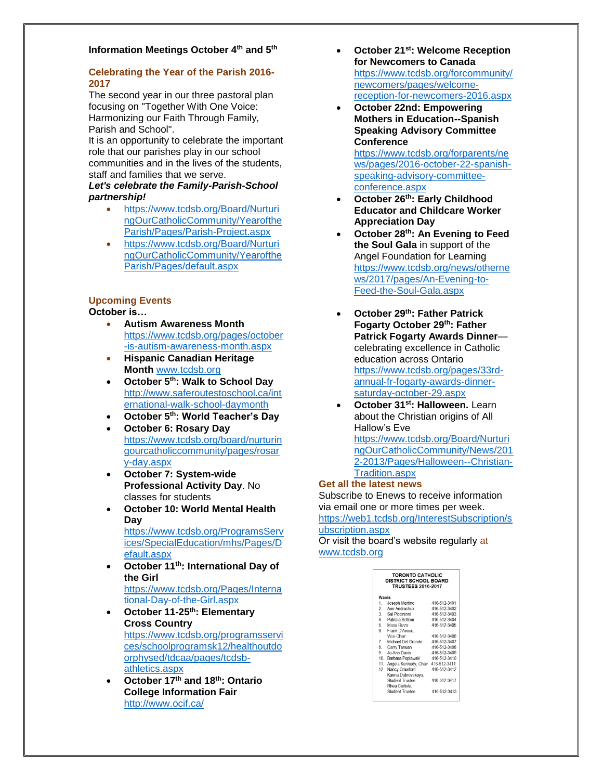#### **Information Meetings October 4th and 5th**

#### **Celebrating the Year of the Parish 2016- 2017**

The second year in our three pastoral plan focusing on "Together With One Voice: Harmonizing our Faith Through Family, Parish and School".

It is an opportunity to celebrate the important role that our parishes play in our school communities and in the lives of the students, staff and families that we serve.

#### *Let's celebrate the Family-Parish-School partnership!*

- [https://www.tcdsb.org/Board/Nurturi](https://www.tcdsb.org/Board/NurturingOurCatholicCommunity/YearoftheParish/Pages/Parish-Project.aspx) [ngOurCatholicCommunity/Yearofthe](https://www.tcdsb.org/Board/NurturingOurCatholicCommunity/YearoftheParish/Pages/Parish-Project.aspx) [Parish/Pages/Parish-Project.aspx](https://www.tcdsb.org/Board/NurturingOurCatholicCommunity/YearoftheParish/Pages/Parish-Project.aspx)
- [https://www.tcdsb.org/Board/Nurturi](https://www.tcdsb.org/Board/NurturingOurCatholicCommunity/YearoftheParish/Pages/default.aspx) [ngOurCatholicCommunity/Yearofthe](https://www.tcdsb.org/Board/NurturingOurCatholicCommunity/YearoftheParish/Pages/default.aspx) [Parish/Pages/default.aspx](https://www.tcdsb.org/Board/NurturingOurCatholicCommunity/YearoftheParish/Pages/default.aspx)

#### **Upcoming Events**

#### **October is…**

- **Autism Awareness Month** [https://www.tcdsb.org/pages/october](https://www.tcdsb.org/pages/october-is-autism-awareness-month.aspx) [-is-autism-awareness-month.aspx](https://www.tcdsb.org/pages/october-is-autism-awareness-month.aspx)
- **Hispanic Canadian Heritage Month** [www.tcdsb.org](http://www.tcdsb.org/)
- **October 5th: Walk to School Day** [http://www.saferoutestoschool.ca/int](http://www.saferoutestoschool.ca/international-walk-school-daymonth) [ernational-walk-school-daymonth](http://www.saferoutestoschool.ca/international-walk-school-daymonth)
- **October 5th: World Teacher's Day**
- **October 6: Rosary Day** [https://www.tcdsb.org/board/nurturin](https://www.tcdsb.org/board/nurturingourcatholiccommunity/pages/rosary-day.aspx) [gourcatholiccommunity/pages/rosar](https://www.tcdsb.org/board/nurturingourcatholiccommunity/pages/rosary-day.aspx) [y-day.aspx](https://www.tcdsb.org/board/nurturingourcatholiccommunity/pages/rosary-day.aspx)
- **October 7: System-wide Professional Activity Day**. No classes for students
- **October 10: World Mental Health Day** [https://www.tcdsb.org/ProgramsServ](https://www.tcdsb.org/ProgramsServices/SpecialEducation/mhs/Pages/Default.aspx) [ices/SpecialEducation/mhs/Pages/D](https://www.tcdsb.org/ProgramsServices/SpecialEducation/mhs/Pages/Default.aspx) [efault.aspx](https://www.tcdsb.org/ProgramsServices/SpecialEducation/mhs/Pages/Default.aspx)
- **October 11th: International Day of the Girl** [https://www.tcdsb.org/Pages/Interna](https://www.tcdsb.org/Pages/International-Day-of-the-Girl.aspx)
	- [tional-Day-of-the-Girl.aspx](https://www.tcdsb.org/Pages/International-Day-of-the-Girl.aspx)
- **October 11-25th: Elementary Cross Country** [https://www.tcdsb.org/programsservi](https://www.tcdsb.org/programsservices/schoolprogramsk12/healthoutdoorphysed/tdcaa/pages/tcdsb-athletics.aspx) [ces/schoolprogramsk12/healthoutdo](https://www.tcdsb.org/programsservices/schoolprogramsk12/healthoutdoorphysed/tdcaa/pages/tcdsb-athletics.aspx) [orphysed/tdcaa/pages/tcdsb](https://www.tcdsb.org/programsservices/schoolprogramsk12/healthoutdoorphysed/tdcaa/pages/tcdsb-athletics.aspx)[athletics.aspx](https://www.tcdsb.org/programsservices/schoolprogramsk12/healthoutdoorphysed/tdcaa/pages/tcdsb-athletics.aspx)
- **October 17th and 18th: Ontario College Information Fair** <http://www.ocif.ca/>
- **October 21st: Welcome Reception for Newcomers to Canada**  [https://www.tcdsb.org/forcommunity/](https://www.tcdsb.org/forcommunity/newcomers/pages/welcome-reception-for-newcomers-2016.aspx) [newcomers/pages/welcome](https://www.tcdsb.org/forcommunity/newcomers/pages/welcome-reception-for-newcomers-2016.aspx)[reception-for-newcomers-2016.aspx](https://www.tcdsb.org/forcommunity/newcomers/pages/welcome-reception-for-newcomers-2016.aspx)
- **October 22nd: Empowering Mothers in Education--Spanish Speaking Advisory Committee Conference**

[https://www.tcdsb.org/forparents/ne](https://www.tcdsb.org/forparents/news/pages/2016-october-22-spanish-speaking-advisory-committee-conference.aspx) [ws/pages/2016-october-22-spanish](https://www.tcdsb.org/forparents/news/pages/2016-october-22-spanish-speaking-advisory-committee-conference.aspx)[speaking-advisory-committee](https://www.tcdsb.org/forparents/news/pages/2016-october-22-spanish-speaking-advisory-committee-conference.aspx)[conference.aspx](https://www.tcdsb.org/forparents/news/pages/2016-october-22-spanish-speaking-advisory-committee-conference.aspx)

- **October 26th: Early Childhood Educator and Childcare Worker Appreciation Day**
- **October 28th: An Evening to Feed the Soul Gala** in support of the Angel Foundation for Learning [https://www.tcdsb.org/news/otherne](https://www.tcdsb.org/news/othernews/2017/pages/An-Evening-to-Feed-the-Soul-Gala.aspx) [ws/2017/pages/An-Evening-to-](https://www.tcdsb.org/news/othernews/2017/pages/An-Evening-to-Feed-the-Soul-Gala.aspx)[Feed-the-Soul-Gala.aspx](https://www.tcdsb.org/news/othernews/2017/pages/An-Evening-to-Feed-the-Soul-Gala.aspx)
- **October 29th: Father Patrick Fogarty October 29th: Father Patrick Fogarty Awards Dinner** celebrating excellence in Catholic education across Ontario [https://www.tcdsb.org/pages/33rd](https://www.tcdsb.org/pages/33rd-annual-fr-fogarty-awards-dinner-saturday-october-29.aspx)[annual-fr-fogarty-awards-dinner](https://www.tcdsb.org/pages/33rd-annual-fr-fogarty-awards-dinner-saturday-october-29.aspx)[saturday-october-29.aspx](https://www.tcdsb.org/pages/33rd-annual-fr-fogarty-awards-dinner-saturday-october-29.aspx)
- **October 31st: Halloween.** Learn about the Christian origins of All Hallow's Eve [https://www.tcdsb.org/Board/Nurturi](https://www.tcdsb.org/Board/NurturingOurCatholicCommunity/News/2012-2013/Pages/Halloween--Christian-Tradition.aspx) [ngOurCatholicCommunity/News/201](https://www.tcdsb.org/Board/NurturingOurCatholicCommunity/News/2012-2013/Pages/Halloween--Christian-Tradition.aspx) [2-2013/Pages/Halloween--Christian-](https://www.tcdsb.org/Board/NurturingOurCatholicCommunity/News/2012-2013/Pages/Halloween--Christian-Tradition.aspx)[Tradition.aspx](https://www.tcdsb.org/Board/NurturingOurCatholicCommunity/News/2012-2013/Pages/Halloween--Christian-Tradition.aspx)

#### **Get all the latest news**

Subscribe to Enews to receive information via email one or more times per week. [https://web1.tcdsb.org/InterestSubscription/s](https://web1.tcdsb.org/InterestSubscription/subscription.aspx)

## [ubscription.aspx](https://web1.tcdsb.org/InterestSubscription/subscription.aspx)

Or visit the board's website regularly at [www.tcdsb.org](http://www.tcdsb.org/)

| <b>TORONTO CATHOLIC</b><br><b>DISTRICT SCHOOL BOARD</b><br><b>TRUSTEES 2016-2017</b> |                        |              |  |  |  |  |  |  |
|--------------------------------------------------------------------------------------|------------------------|--------------|--|--|--|--|--|--|
| Wards                                                                                |                        |              |  |  |  |  |  |  |
| 1                                                                                    | Joseph Martino         | 416-512-3401 |  |  |  |  |  |  |
| $2^{\circ}$                                                                          | Ann Andrachuk          | 416-512-3402 |  |  |  |  |  |  |
|                                                                                      | 3 Sal Piccininni       | 416-512-3403 |  |  |  |  |  |  |
|                                                                                      | 4. Patrizia Bottoni    | 416-512-3404 |  |  |  |  |  |  |
| 5                                                                                    | Maria Rizzo            | 416-512-3405 |  |  |  |  |  |  |
| 6.                                                                                   | Frank D'Amico,         |              |  |  |  |  |  |  |
|                                                                                      | Vice-Chair             | 416-512-3406 |  |  |  |  |  |  |
| $\overline{7}$                                                                       | Michael Del Grande     | 416-512-3407 |  |  |  |  |  |  |
| 8.                                                                                   | Garry Tanuan           | 416-512-3408 |  |  |  |  |  |  |
| 9.                                                                                   | Jo-Ann Davis           | 416-512-3409 |  |  |  |  |  |  |
| 10.                                                                                  | Barbara Poplawski      | 416-512-3410 |  |  |  |  |  |  |
| 11.                                                                                  | Angela Kennedy, Chair  | 416-512-3411 |  |  |  |  |  |  |
| $12-12$                                                                              | Nancy Crawford         | 416-512-3412 |  |  |  |  |  |  |
|                                                                                      | Karina Dubrovskava.    |              |  |  |  |  |  |  |
|                                                                                      | <b>Student Trustee</b> | 416-512-3417 |  |  |  |  |  |  |
|                                                                                      | Rhea Carlisle.         |              |  |  |  |  |  |  |
|                                                                                      | <b>Student Trustee</b> | 416-512-3413 |  |  |  |  |  |  |